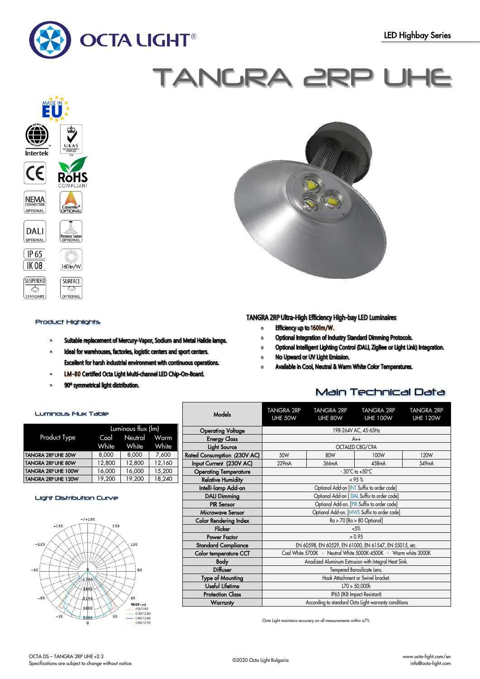

# TANGRA 2RP UHE



# Product Highlights

Luminous Flux Table

- Suitable replacement of Mercury-Vapor, Sodium and Metal Halide lamps.  $\bullet$
- Ideal for warehouses, factories, logistic centers and sport centers.  $\alpha$ Excellent for harsh industrial environment with continuous operations.
- LM-80 Certified Octa Light Multi-channel LED Chip-On-Board.  $\circ$
- 90° symmetrical light distribution.

# TANGRA 2RP Ultra-High Efficiency High-bay LED Luminaires

Efficiency up to 160Im/W.  $\bullet$ 

TANGRA 2RP

- Optional Integration of Industry Standard Dimming Protocols.  $\mathbf{o}$
- Optional Intelligent Lighting Control (DALI, ZigBee or Light Link) Integration.  $\circ$
- No Upward or UV Light Emission.  $\circ$
- Available in Cool, Neutral & Warm White Color Temperatures.  $\Omega$

TANGRA 2RP

# Main Technical Data

TANGRA 2RP

TANICDA ODE

|                     | Luminous flux (lm) |              |        |  |
|---------------------|--------------------|--------------|--------|--|
| <b>Product Type</b> | Cool               | Neutral Warm |        |  |
|                     | White              | White        | White  |  |
| TANGRA 2RP UHE 50W  | 8,000              | 8,000        | 7,600  |  |
| TANGRA 2RP UHE 80W  | 12,800             | 12,800       | 12,160 |  |
| TANGRA 2RP UHE 100W | 16,000             | 16,000       | 15,200 |  |
| TANGRA 2RP UHE 120W | 19,200             | 19,200       | 18,240 |  |

# Light Distribution Curve



| Models                       | UHE 50W                                                         | UHE 80W | <b>UHE 100W</b> | <b>UHE 120W</b> |  |
|------------------------------|-----------------------------------------------------------------|---------|-----------------|-----------------|--|
| <b>Operating Voltage</b>     | 198-264V AC, 45-65Hz                                            |         |                 |                 |  |
| <b>Energy Class</b>          | $A++$                                                           |         |                 |                 |  |
| Light Source                 |                                                                 |         | OCTALED C8G/C9A |                 |  |
| Rated Consumption (230V AC)  | 50W                                                             | 120W    |                 |                 |  |
| Input Current (230V AC)      | 229mA                                                           | 366mA   | 458mA           | 549mA           |  |
| <b>Operating Temperature</b> | $-30^{\circ}$ C to $+50^{\circ}$ C                              |         |                 |                 |  |
| <b>Relative Humidity</b>     | $< 95 \%$                                                       |         |                 |                 |  |
| Intelli-lamp Add-on          | Optional Add-on [INT Suffix to order code]                      |         |                 |                 |  |
| <b>DALI Dimming</b>          | Optional Add-on [DAL Suffix to order code]                      |         |                 |                 |  |
| <b>PIR Sensor</b>            | Optional Add-on. [PIR Suffix to order code]                     |         |                 |                 |  |
| Microwave Sensor             | Optional Add-on. [MWS Suffix to order code]                     |         |                 |                 |  |
| <b>Color Rendering Index</b> | $Ra > 70$ [ $Ra > 80$ Optional]                                 |         |                 |                 |  |
| <b>Flicker</b>               | $< 5\%$                                                         |         |                 |                 |  |
| Power Factor                 | > 0.95                                                          |         |                 |                 |  |
| <b>Standard Compliance</b>   | EN 60598, EN 60529, EN 61000, EN 61547, EN 55015, etc.          |         |                 |                 |  |
| Color temperature CCT        | Cool White 5700K - Neutral White 5000K-4500K - Warm white 3000K |         |                 |                 |  |
| <b>Body</b>                  | Anodized Aluminum Extrusion with Integral Heat Sink.            |         |                 |                 |  |
| <b>Diffuser</b>              | Tempered Borosilicate Lens.                                     |         |                 |                 |  |
| Type of Mounting             | Hook Attachment or Swivel bracket.                              |         |                 |                 |  |
| Useful Lifetime              | L70 > 50,000h                                                   |         |                 |                 |  |
| <b>Protection Class</b>      | IP65 (IK8 Impact Resistant)                                     |         |                 |                 |  |
| Warranty                     | According to standard Octa Light warranty conditions            |         |                 |                 |  |

Octa Light maintains accuracy on all measurements within ±7%